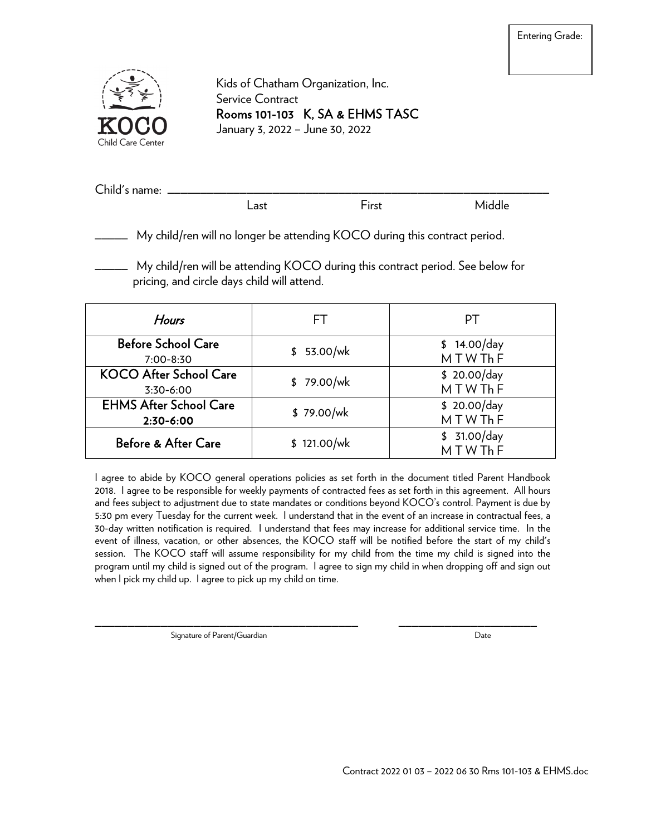

Kids of Chatham Organization, Inc. Service Contract Rooms 101-103 K, SA & EHMS TASC January 3, 2022 – June 30, 2022

| $\sim$ $\sim$<br>name:<br>$^{\prime}$ hild $\sim$<br>ີ |     |          |  |
|--------------------------------------------------------|-----|----------|--|
|                                                        | ast | <br>าเรเ |  |

My child/ren will no longer be attending KOCO during this contract period.

\_\_\_\_\_ My child/ren will be attending KOCO during this contract period. See below for pricing, and circle days child will attend.

| Hours                                      | H.          | PТ                    |  |
|--------------------------------------------|-------------|-----------------------|--|
| <b>Before School Care</b><br>$7:00 - 8:30$ | \$53.00/wk  | \$14.00/day<br>MTWThF |  |
| <b>KOCO After School Care</b><br>3:30-6:00 | \$79.00/wk  | \$20.00/day<br>MTWThF |  |
| <b>EHMS After School Care</b><br>2:30-6:00 | \$79.00/wk  | \$20.00/day<br>MTWThF |  |
| <b>Before &amp; After Care</b>             | \$121.00/wk | \$31.00/day<br>MTWThF |  |

I agree to abide by KOCO general operations policies as set forth in the document titled Parent Handbook 2018. I agree to be responsible for weekly payments of contracted fees as set forth in this agreement. All hours and fees subject to adjustment due to state mandates or conditions beyond KOCO's control. Payment is due by 5:30 pm every Tuesday for the current week. I understand that in the event of an increase in contractual fees, a 30-day written notification is required. I understand that fees may increase for additional service time. In the event of illness, vacation, or other absences, the KOCO staff will be notified before the start of my child's session. The KOCO staff will assume responsibility for my child from the time my child is signed into the program until my child is signed out of the program. I agree to sign my child in when dropping off and sign out when I pick my child up. I agree to pick up my child on time.

Signature of Parent/Guardian and the state of the Date of Parent Cuardian Date

\_\_\_\_\_\_\_\_\_\_\_\_\_\_\_\_\_\_\_\_\_\_\_\_\_\_\_\_\_\_\_\_\_\_\_\_\_\_\_\_ \_\_\_\_\_\_\_\_\_\_\_\_\_\_\_\_\_\_\_\_\_